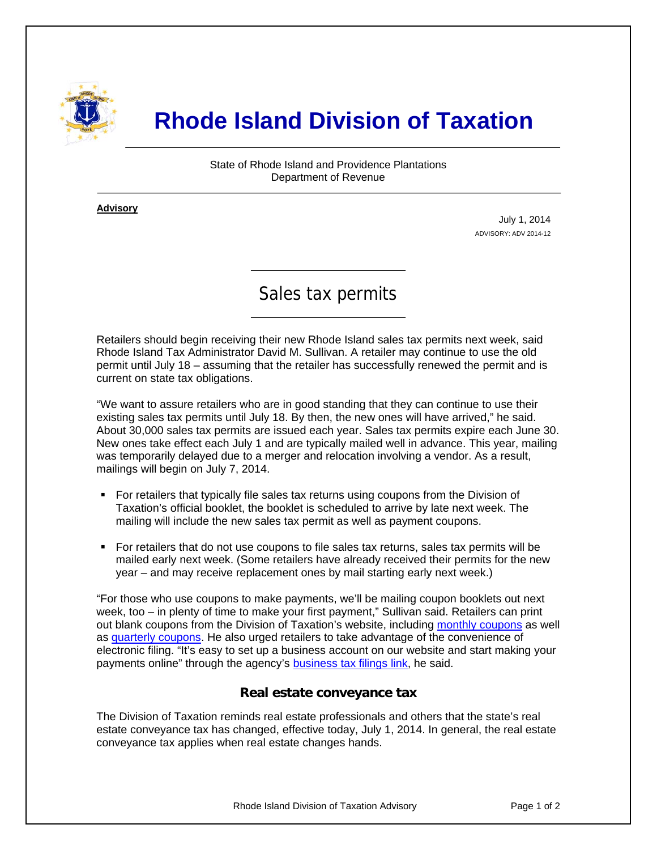

# **Rhode Island Division of Taxation**

State of Rhode Island and Providence Plantations Department of Revenue

**Advisory** ٦

i

July 1, 2014 ADVISORY: ADV 2014-12

# Sales tax permits

Retailers should begin receiving their new Rhode Island sales tax permits next week, said Rhode Island Tax Administrator David M. Sullivan. A retailer may continue to use the old permit until July 18 – assuming that the retailer has successfully renewed the permit and is current on state tax obligations.

"We want to assure retailers who are in good standing that they can continue to use their existing sales tax permits until July 18. By then, the new ones will have arrived," he said. About 30,000 sales tax permits are issued each year. Sales tax permits expire each June 30. New ones take effect each July 1 and are typically mailed well in advance. This year, mailing was temporarily delayed due to a merger and relocation involving a vendor. As a result, mailings will begin on July 7, 2014.

- For retailers that typically file sales tax returns using coupons from the Division of Taxation's official booklet, the booklet is scheduled to arrive by late next week. The mailing will include the new sales tax permit as well as payment coupons.
- For retailers that do not use coupons to file sales tax returns, sales tax permits will be mailed early next week. (Some retailers have already received their permits for the new year – and may receive replacement ones by mail starting early next week.)

"For those who use coupons to make payments, we'll be mailing coupon booklets out next week, too – in plenty of time to make your first payment," Sullivan said. Retailers can print out blank coupons from the Division of Taxation's website, including [monthly coupons](http://www.tax.ri.gov/forms/2011/Excise/SalesUse/Sales%20Tax%20Monthly%20Multi.pdf) as well as [quarterly coupons](http://www.tax.ri.gov/forms/2011/Excise/SalesUse/Sales%20Tax%20Quarterly%20Multi.pdf). He also urged retailers to take advantage of the convenience of electronic filing. "It's easy to set up a business account on our website and start making your payments online" through the agency's [business tax filings link](https://www.ri.gov/taxation/business/index.php), he said.

#### **Real estate conveyance tax**

The Division of Taxation reminds real estate professionals and others that the state's real estate conveyance tax has changed, effective today, July 1, 2014. In general, the real estate conveyance tax applies when real estate changes hands.